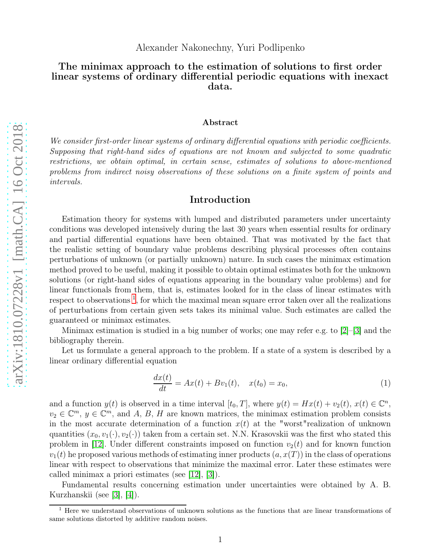### Alexander Nakonechny, Yuri Podlipenko

# The minimax approach to the estimation of solutions to first order linear systems of ordinary differential periodic equations with inexact data.

#### Abstract

We consider first-order linear systems of ordinary differential equations with periodic coefficients. Supposing that right-hand sides of equations are not known and subjected to some quadratic restrictions, we obtain optimal, in certain sense, estimates of solutions to above-mentioned problems from indirect noisy observations of these solutions on a finite system of points and intervals.

## Introduction

Estimation theory for systems with lumped and distributed parameters under uncertainty conditions was developed intensively during the last 30 years when essential results for ordinary and partial differential equations have been obtained. That was motivated by the fact that the realistic setting of boundary value problems describing physical processes often contains perturbations of unknown (or partially unknown) nature. In such cases the minimax estimation method proved to be useful, making it possible to obtain optimal estimates both for the unknown solutions (or right-hand sides of equations appearing in the boundary value problems) and for linear functionals from them, that is, estimates looked for in the class of linear estimates with respect to observations<sup>[1](#page-0-0)</sup>, for which the maximal mean square error taken over all the realizations of perturbations from certain given sets takes its minimal value. Such estimates are called the guaranteed or minimax estimates.

Minimax estimation is studied in a big number of works; one may refer e.g. to  $[2]$ – $[3]$  and the bibliography therein.

Let us formulate a general approach to the problem. If a state of a system is described by a linear ordinary differential equation

<span id="page-0-1"></span>
$$
\frac{dx(t)}{dt} = Ax(t) + Bv_1(t), \quad x(t_0) = x_0,\tag{1}
$$

and a function  $y(t)$  is observed in a time interval  $[t_0, T]$ , where  $y(t) = Hx(t) + v_2(t)$ ,  $x(t) \in \mathbb{C}^n$ ,  $v_2 \in \mathbb{C}^m$ ,  $y \in \mathbb{C}^m$ , and A, B, H are known matrices, the minimax estimation problem consists in the most accurate determination of a function  $x(t)$  at the "worst" realization of unknown quantities  $(x_0, v_1(\cdot), v_2(\cdot))$  taken from a certain set. N.N. Krasovskii was the first who stated this problem in [\[12\]](#page-18-0). Under different constraints imposed on function  $v_2(t)$  and for known function  $v_1(t)$  he proposed various methods of estimating inner products  $(a, x(T))$  in the class of operations linear with respect to observations that minimize the maximal error. Later these estimates were called minimax a priori estimates (see [\[12\]](#page-18-0), [\[3\]](#page-17-1)).

Fundamental results concerning estimation under uncertainties were obtained by A. B. Kurzhanskii (see [\[3\]](#page-17-1), [\[4\]](#page-17-2)).

<span id="page-0-0"></span><sup>&</sup>lt;sup>1</sup> Here we understand observations of unknown solutions as the functions that are linear transformations of same solutions distorted by additive random noises.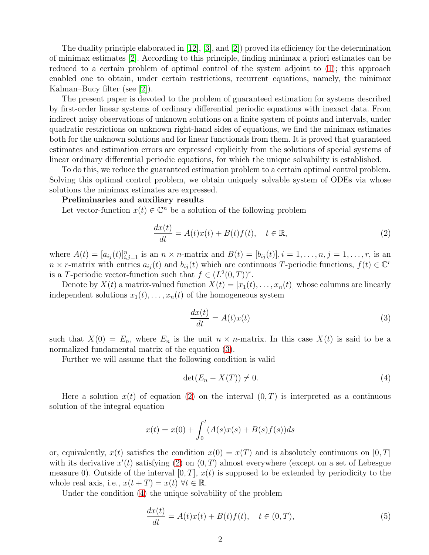The duality principle elaborated in [\[12\]](#page-18-0), [\[3\]](#page-17-1), and [\[2\]](#page-17-0)) proved its efficiency for the determination of minimax estimates [\[2\]](#page-17-0). According to this principle, finding minimax a priori estimates can be reduced to a certain problem of optimal control of the system adjoint to  $(1)$ ; this approach enabled one to obtain, under certain restrictions, recurrent equations, namely, the minimax Kalman–Bucy filter (see [\[2\]](#page-17-0)).

The present paper is devoted to the problem of guaranteed estimation for systems described by first-order linear systems of ordinary differential periodic equations with inexact data. From indirect noisy observations of unknown solutions on a finite system of points and intervals, under quadratic restrictions on unknown right-hand sides of equations, we find the minimax estimates both for the unknown solutions and for linear functionals from them. It is proved that guaranteed estimates and estimation errors are expressed explicitly from the solutions of special systems of linear ordinary differential periodic equations, for which the unique solvability is established.

To do this, we reduce the guaranteed estimation problem to a certain optimal control problem. Solving this optimal control problem, we obtain uniquely solvable system of ODEs via whose solutions the minimax estimates are expressed.

#### Preliminaries and auxiliary results

Let vector-function  $x(t) \in \mathbb{C}^n$  be a solution of the following problem

<span id="page-1-1"></span>
$$
\frac{dx(t)}{dt} = A(t)x(t) + B(t)f(t), \quad t \in \mathbb{R},
$$
\n(2)

where  $A(t) = [a_{ij}(t)]_{i,j=1}^n$  is an  $n \times n$ -matrix and  $B(t) = [b_{ij}(t)], i = 1, ..., n, j = 1, ..., r$ , is an  $n \times r$ -matrix with entries  $a_{ij}(t)$  and  $b_{ij}(t)$  which are continuous T-periodic functions,  $f(t) \in \mathbb{C}^r$ is a T-periodic vector-function such that  $f \in (L^2(0,T))^r$ .

Denote by  $X(t)$  a matrix-valued function  $X(t) = [x_1(t), \ldots, x_n(t)]$  whose columns are linearly independent solutions  $x_1(t), \ldots, x_n(t)$  of the homogeneous system

<span id="page-1-0"></span>
$$
\frac{dx(t)}{dt} = A(t)x(t) \tag{3}
$$

such that  $X(0) = E_n$ , where  $E_n$  is the unit  $n \times n$ -matrix. In this case  $X(t)$  is said to be a normalized fundamental matrix of the equation [\(3\)](#page-1-0).

Further we will assume that the following condition is valid

<span id="page-1-2"></span>
$$
\det(E_n - X(T)) \neq 0. \tag{4}
$$

Here a solution  $x(t)$  of equation [\(2\)](#page-1-1) on the interval  $(0, T)$  is interpreted as a continuous solution of the integral equation

$$
x(t) = x(0) + \int_0^t (A(s)x(s) + B(s)f(s))ds
$$

or, equivalently,  $x(t)$  satisfies the condition  $x(0) = x(T)$  and is absolutely continuous on [0, T] with its derivative  $x'(t)$  satisfying [\(2\)](#page-1-1) on  $(0,T)$  almost everywhere (except on a set of Lebesgue measure 0). Outside of the interval  $[0, T]$ ,  $x(t)$  is supposed to be extended by periodicity to the whole real axis, i.e.,  $x(t+T) = x(t) \ \forall t \in \mathbb{R}$ .

Under the condition [\(4\)](#page-1-2) the unique solvability of the problem

<span id="page-1-3"></span>
$$
\frac{dx(t)}{dt} = A(t)x(t) + B(t)f(t), \quad t \in (0, T),
$$
\n(5)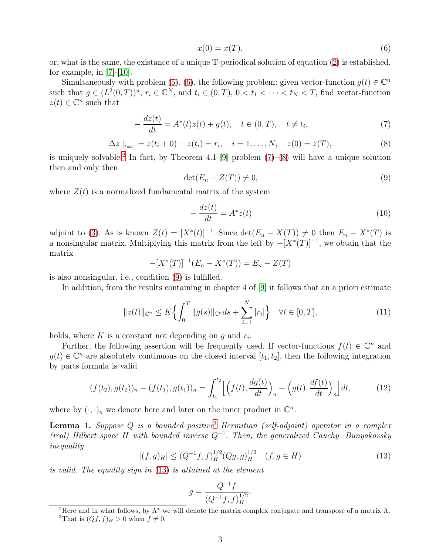<span id="page-2-0"></span>
$$
x(0) = x(T),\tag{6}
$$

or, what is the same, the existance of a unique T-periodical solution of equation [\(2\)](#page-1-1) is established, for example, in  $|7|-|10|$ .

Simultaneously with problem [\(5\)](#page-1-3), [\(6\)](#page-2-0), the following problem: given vector-function  $g(t) \in \mathbb{C}^n$ such that  $g \in (L^2(0,T))^n$ ,  $r_i \in \mathbb{C}^N$ , and  $t_i \in (0,T)$ ,  $0 < t_1 < \cdots < t_N < T$ , find vector-function  $z(t) \in \mathbb{C}^n$  such that

<span id="page-2-2"></span>
$$
-\frac{dz(t)}{dt} = A^*(t)z(t) + g(t), \quad t \in (0, T), \quad t \neq t_i,
$$
\n(7)

<span id="page-2-3"></span>
$$
\Delta z \big|_{t=t_i} = z(t_i + 0) - z(t_i) = r_i, \quad i = 1, ..., N, \quad z(0) = z(T), \tag{8}
$$

is uniquely solvable.<sup>[2](#page-2-1)</sup> In fact, by Theorem 4.1 [\[9\]](#page-17-5) problem  $(7)-(8)$  $(7)-(8)$  will have a unique solution then and only then

<span id="page-2-4"></span>
$$
\det(E_n - Z(T)) \neq 0,\tag{9}
$$

where  $Z(t)$  is a normalized fundamental matrix of the system

$$
-\frac{dz(t)}{dt} = A^*z(t) \tag{10}
$$

adjoint to [\(3\)](#page-1-0). As is known  $Z(t) = [X^*(t)]^{-1}$ . Since  $\det(E_n - X(T)) \neq 0$  then  $E_n - X^*(T)$  is a nonsingular matrix. Multiplying this matrix from the left by  $-[X^*(T)]^{-1}$ , we obtain that the matrix

$$
-[X^*(T)]^{-1}(E_n - X^*(T)) = E_n - Z(T)
$$

is also nonsingular, i.e., condition [\(9\)](#page-2-4) is fulfilled.

In addition, from the results containing in chapter 4 of [\[9\]](#page-17-5) it follows that an a priori estimate

<span id="page-2-8"></span>
$$
||z(t)||_{\mathbb{C}^n} \le K \left\{ \int_0^T ||g(s)||_{\mathbb{C}^n} ds + \sum_{i=1}^N |r_i| \right\} \quad \forall t \in [0, T], \tag{11}
$$

holds, where  $K$  is a constant not depending on  $g$  and  $r_i$ .

Further, the following assertion will be frequently used. If vector-functions  $f(t) \in \mathbb{C}^n$  and  $g(t) \in \mathbb{C}^n$  are absolutely continuous on the closed interval  $[t_1, t_2]$ , then the following integration by parts formula is valid

<span id="page-2-7"></span>
$$
(f(t_2), g(t_2))_n - (f(t_1), g(t_1))_n = \int_{t_1}^{t_2} \left[ \left( f(t), \frac{dg(t)}{dt} \right)_n + \left( g(t), \frac{df(t)}{dt} \right)_n \right] dt,\tag{12}
$$

where by  $(\cdot, \cdot)_n$  we denote here and later on the inner product in  $\mathbb{C}^n$ .

**Lemma 1.** Suppose  $Q$  is a bounded positive<sup>[3](#page-2-5)</sup> Hermitian (self-adjoint) operator in a complex (real) Hilbert space H with bounded inverse  $Q^{-1}$ . Then, the generalized Cauchy–Bunyakovsky inequality

<span id="page-2-6"></span>
$$
|(f,g)_H| \le (Q^{-1}f,f)_H^{1/2}(Qg,g)_H^{1/2} \quad (f,g \in H)
$$
\n(13)

is valid. The equality sign in [\(13\)](#page-2-6) is attained at the element

$$
g = \frac{Q^{-1}f}{(Q^{-1}f, f)_H^{1/2}}.
$$

<span id="page-2-5"></span><span id="page-2-1"></span><sup>&</sup>lt;sup>2</sup>Here and in what follows, by  $\Lambda^*$  we will denote the matrix complex conjugate and transpose of a matrix  $\Lambda$ . <sup>3</sup>That is  $(Qf, f)_H > 0$  when  $f \neq 0$ .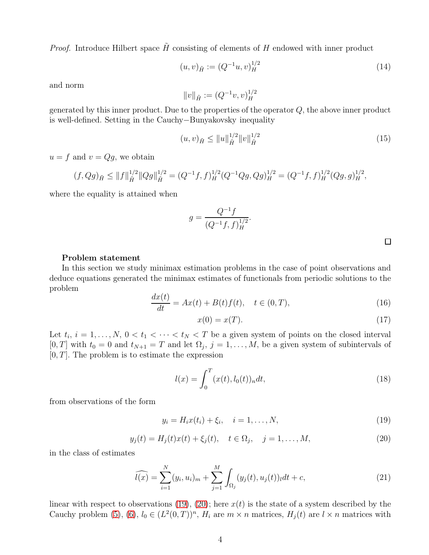*Proof.* Introduce Hilbert space  $\tilde{H}$  consisting of elements of H endowed with inner product

$$
(u,v)_{\tilde{H}} := (Q^{-1}u,v)_H^{1/2}
$$
\n(14)

and norm

$$
||v||_{\tilde{H}} := (Q^{-1}v, v)_H^{1/2}
$$

generated by this inner product. Due to the properties of the operator  $Q$ , the above inner product is well-defined. Setting in the Cauchy−Bunyakovsky inequality

$$
(u,v)_{\tilde{H}} \le ||u||_{\tilde{H}}^{1/2} ||v||_{\tilde{H}}^{1/2}
$$
\n(15)

 $u = f$  and  $v = Qg$ , we obtain

$$
(f, Qg)_{\tilde{H}} \le ||f||_{\tilde{H}}^{1/2} ||Qg||_{\tilde{H}}^{1/2} = (Q^{-1}f, f)_{H}^{1/2} (Q^{-1}Qg, Qg)_{H}^{1/2} = (Q^{-1}f, f)_{H}^{1/2} (Qg, g)_{H}^{1/2},
$$

where the equality is attained when

$$
g = \frac{Q^{-1}f}{(Q^{-1}f, f)_H^{1/2}}.
$$

#### Problem statement

In this section we study minimax estimation problems in the case of point observations and deduce equations generated the minimax estimates of functionals from periodic solutions to the problem

$$
\frac{dx(t)}{dt} = Ax(t) + B(t)f(t), \quad t \in (0, T),
$$
\n(16)

$$
x(0) = x(T). \tag{17}
$$

Let  $t_i$ ,  $i = 1, ..., N$ ,  $0 < t_1 < \cdots < t_N < T$  be a given system of points on the closed interval  $[0, T]$  with  $t_0 = 0$  and  $t_{N+1} = T$  and let  $\Omega_j$ ,  $j = 1, \ldots, M$ , be a given system of subintervals of  $[0, T]$ . The problem is to estimate the expression

<span id="page-3-2"></span>
$$
l(x) = \int_0^T (x(t), l_0(t))_n dt,
$$
\n(18)

from observations of the form

<span id="page-3-0"></span>
$$
y_i = H_i x(t_i) + \xi_i, \quad i = 1, ..., N,
$$
\n(19)

<span id="page-3-1"></span>
$$
y_j(t) = H_j(t)x(t) + \xi_j(t), \quad t \in \Omega_j, \quad j = 1, ..., M,
$$
 (20)

in the class of estimates

$$
\widehat{l(x)} = \sum_{i=1}^{N} (y_i, u_i)_m + \sum_{j=1}^{M} \int_{\Omega_j} (y_j(t), u_j(t))_l dt + c,
$$
\n(21)

linear with respect to observations [\(19\)](#page-3-0), [\(20\)](#page-3-1); here  $x(t)$  is the state of a system described by the Cauchy problem [\(5\)](#page-1-3), [\(6\)](#page-2-0),  $l_0 \in (L^2(0,T))^n$ ,  $H_i$  are  $m \times n$  matrices,  $H_j(t)$  are  $l \times n$  matrices with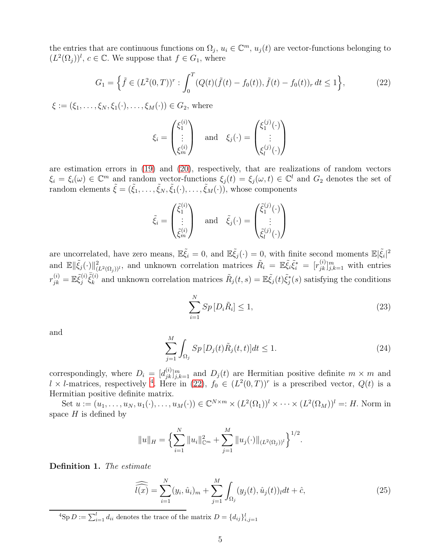the entries that are continuous functions on  $\Omega_j$ ,  $u_i \in \mathbb{C}^m$ ,  $u_j(t)$  are vector-functions belonging to  $(L^2(\Omega_j))^l$ ,  $c \in \mathbb{C}$ . We suppose that  $f \in G_1$ , where

<span id="page-4-1"></span>
$$
G_1 = \left\{ \tilde{f} \in (L^2(0,T))^r : \int_0^T (Q(t)(\tilde{f}(t) - f_0(t)), \tilde{f}(t) - f_0(t))_r dt \le 1 \right\},\tag{22}
$$

 $\xi := (\xi_1, \ldots, \xi_N, \xi_1(\cdot), \ldots, \xi_M(\cdot)) \in G_2$ , where

$$
\xi_i = \begin{pmatrix} \xi_1^{(i)} \\ \vdots \\ \xi_m^{(i)} \end{pmatrix} \quad \text{and} \quad \xi_j(\cdot) = \begin{pmatrix} \xi_1^{(j)}(\cdot) \\ \vdots \\ \xi_l^{(j)}(\cdot) \end{pmatrix}
$$

are estimation errors in [\(19\)](#page-3-0) and [\(20\)](#page-3-1), respectively, that are realizations of random vectors  $\xi_i = \xi_i(\omega) \in \mathbb{C}^m$  and random vector-functions  $\xi_j(t) = \xi_j(\omega, t) \in \mathbb{C}^l$  and  $G_2$  denotes the set of random elements  $\tilde{\xi} = (\tilde{\xi}_1, \ldots, \tilde{\xi}_N, \tilde{\xi}_1(\cdot), \ldots, \tilde{\xi}_M(\cdot)),$  whose components

$$
\tilde{\xi}_i = \begin{pmatrix} \tilde{\xi}_1^{(i)} \\ \vdots \\ \tilde{\xi}_m^{(i)} \end{pmatrix} \quad \text{and} \quad \tilde{\xi}_j(\cdot) = \begin{pmatrix} \tilde{\xi}_1^{(j)}(\cdot) \\ \vdots \\ \tilde{\xi}_l^{(j)}(\cdot) \end{pmatrix}
$$

are uncorrelated, have zero means,  $\mathbb{E} \tilde{\xi}_i = 0$ , and  $\mathbb{E} \tilde{\xi}_j(\cdot) = 0$ , with finite second moments  $\mathbb{E} |\tilde{\xi}_i|^2$ and  $\mathbb{E} \|\tilde{\xi}_j(\cdot)\|_{(L^2(\Omega_j))^l}^2$ , and unknown correlation matrices  $\tilde{R}_i = \mathbb{E}\tilde{\xi}_i \tilde{\xi}_i^* = [r_{jk}^{(i)}]_{j,k=1}^m$  with entries  $r_{jk}^{(i)} = \mathbb{E} \tilde{\xi}_j^{(i)}$  $\begin{array}{c} \bar{j}^{(i)} \bar{\tilde{\zeta}}^{(i)} \ \bar{j}^{(j)} \end{array}$ (i) and unknown correlation matrices  $\tilde{R}_j(t,s) = \mathbb{E}\tilde{\xi}_j(t)\tilde{\xi}_j^*(s)$  satisfying the conditions

<span id="page-4-2"></span>
$$
\sum_{i=1}^{N} Sp\left[D_i\tilde{R}_i\right] \le 1,\tag{23}
$$

and

<span id="page-4-3"></span>
$$
\sum_{j=1}^{M} \int_{\Omega_j} Sp \left[ D_j(t) \tilde{R}_j(t, t) \right] dt \le 1.
$$
\n(24)

correspondingly, where  $D_i = [d_{jk}^{(i)}]_{j,k=1}^m$  and  $D_j(t)$  are Hermitian positive definite  $m \times m$  and  $l \times l$ -matrices, respectively <sup>[4](#page-4-0)</sup>. Here in [\(22\)](#page-4-1),  $f_0 \in (L^2(0,T))^r$  is a prescribed vector,  $Q(t)$  is a Hermitian positive definite matrix.

Set  $u := (u_1, \ldots, u_N, u_1(\cdot), \ldots, u_M(\cdot)) \in \mathbb{C}^{N \times m} \times (L^2(\Omega_1))^l \times \cdots \times (L^2(\Omega_M))^l =: H.$  Norm in space  $H$  is defined by

$$
||u||_H = \left\{ \sum_{i=1}^N ||u_i||_{\mathbb{C}^m}^2 + \sum_{j=1}^M ||u_j(\cdot)||_{(L^2(\Omega_j))^l} \right\}^{1/2}.
$$

Definition 1. The estimate

<span id="page-4-4"></span>
$$
\widehat{l(x)} = \sum_{i=1}^{N} (y_i, \hat{u}_i)_m + \sum_{j=1}^{M} \int_{\Omega_j} (y_j(t), \hat{u}_j(t))_l dt + \hat{c},
$$
\n(25)

<span id="page-4-0"></span><sup>4</sup>Sp  $D := \sum_{i=1}^{l} d_{ii}$  denotes the trace of the matrix  $D = \{d_{ij}\}_{i,j=1}^{l}$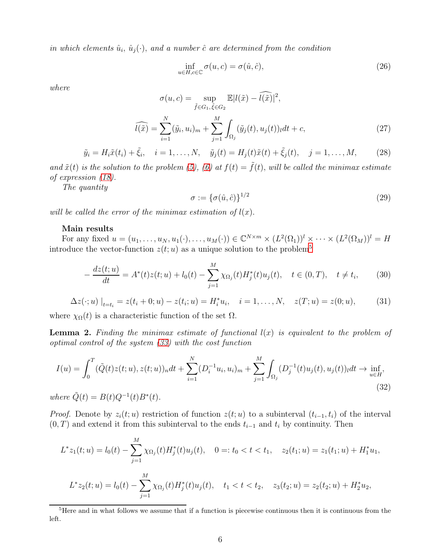in which elements  $\hat{u}_i$ ,  $\hat{u}_j(\cdot)$ , and a number  $\hat{c}$  are determined from the condition

$$
\inf_{u \in H, c \in \mathbb{C}} \sigma(u, c) = \sigma(\hat{u}, \hat{c}), \tag{26}
$$

where

$$
\sigma(u, c) = \sup_{\tilde{f} \in G_1, \tilde{\xi} \in G_2} \mathbb{E}|l(\tilde{x}) - \tilde{l}(\tilde{x})|^2,
$$
  

$$
\widehat{l(\tilde{x})} = \sum_{i=1}^N (\tilde{y}_i, u_i)_m + \sum_{j=1}^M \int_{\Omega_j} (\tilde{y}_j(t), u_j(t))_l dt + c,
$$
\n(27)

<span id="page-5-1"></span> $\tilde{y}_i = H_i \tilde{x}(t_i) + \tilde{\xi}_i, \quad i = 1, ..., N, \quad \tilde{y}_j(t) = H_j(t)\tilde{x}(t) + \tilde{\xi}_j(t), \quad j = 1, ..., M,$ (28)

and  $\tilde{x}(t)$  is the solution to the problem [\(5\)](#page-1-3), [\(6\)](#page-2-0) at  $f(t) = \tilde{f}(t)$ , will be called the minimax estimate of expression [\(18\)](#page-3-2).

The quantity

$$
\sigma := \{\sigma(\hat{u}, \hat{c})\}^{1/2} \tag{29}
$$

will be called the error of the minimax estimation of  $l(x)$ .

#### Main results

For any fixed  $u = (u_1, \ldots, u_N, u_1(\cdot), \ldots, u_M(\cdot)) \in \mathbb{C}^{N \times m} \times (L^2(\Omega_1))^l \times \cdots \times (L^2(\Omega_M))^l = H$ introduce the vector-function  $z(t; u)$  as a unique solution to the problem<sup>[5](#page-5-0)</sup>

<span id="page-5-2"></span>
$$
-\frac{dz(t;u)}{dt} = A^*(t)z(t;u) + l_0(t) - \sum_{j=1}^M \chi_{\Omega_j}(t)H_j^*(t)u_j(t), \quad t \in (0,T), \quad t \neq t_i,
$$
 (30)

<span id="page-5-4"></span>
$$
\Delta z(\cdot; u) \big|_{t=t_i} = z(t_i + 0; u) - z(t_i; u) = H_i^* u_i, \quad i = 1, \dots, N, \quad z(T; u) = z(0; u), \tag{31}
$$

where  $\chi_{\Omega}(t)$  is a characteristic function of the set  $\Omega$ .

**Lemma 2.** Finding the minimax estimate of functional  $l(x)$  is equivalent to the problem of optimal control of the system [\(33\)](#page-6-0) with the cost function

<span id="page-5-3"></span>
$$
I(u) = \int_0^T (\tilde{Q}(t)z(t;u), z(t;u))_n dt + \sum_{i=1}^N (D_i^{-1}u_i, u_i)_m + \sum_{j=1}^M \int_{\Omega_j} (D_j^{-1}(t)u_j(t), u_j(t))_l dt \to \inf_{u \in H'} (32)
$$

where  $\tilde{Q}(t) = B(t)Q^{-1}(t)B^*(t)$ .

*Proof.* Denote by  $z_i(t; u)$  restriction of function  $z(t; u)$  to a subinterval  $(t_{i-1}, t_i)$  of the interval  $(0, T)$  and extend it from this subinterval to the ends  $t_{i-1}$  and  $t_i$  by continuity. Then

$$
L^* z_1(t; u) = l_0(t) - \sum_{j=1}^M \chi_{\Omega_j}(t) H_j^*(t) u_j(t), \quad 0 =: t_0 < t < t_1, \quad z_2(t_1; u) = z_1(t_1; u) + H_1^* u_1,
$$
  

$$
L^* z_2(t; u) = l_0(t) - \sum_{j=1}^M \chi_{\Omega_j}(t) H_j^*(t) u_j(t), \quad t_1 < t < t_2, \quad z_3(t_2; u) = z_2(t_2; u) + H_2^* u_2,
$$

<span id="page-5-0"></span><sup>&</sup>lt;sup>5</sup>Here and in what follows we assume that if a function is piecewise continuous then it is continuous from the left.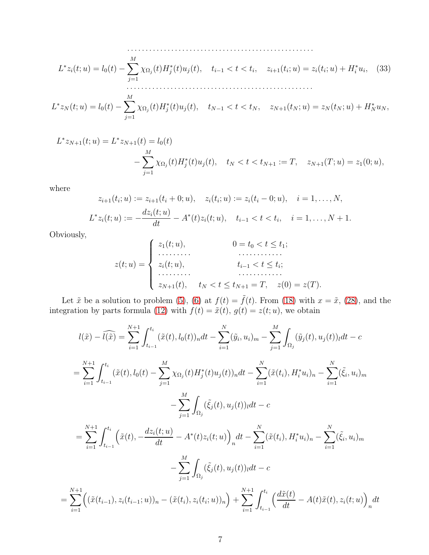<span id="page-6-0"></span>
$$
L^*z_i(t;u) = l_0(t) - \sum_{j=1}^M \chi_{\Omega_j}(t)H_j^*(t)u_j(t), \quad t_{i-1} < t < t_i, \quad z_{i+1}(t_i;u) = z_i(t_i;u) + H_i^*u_i,\tag{33}
$$

$$
L^* z_N(t; u) = l_0(t) - \sum_{j=1}^M \chi_{\Omega_j}(t) H_j^*(t) u_j(t), \quad t_{N-1} < t < t_N, \quad z_{N+1}(t_N; u) = z_N(t_N; u) + H_N^* u_N,
$$

$$
L^* z_{N+1}(t; u) = L^* z_{N+1}(t) = l_0(t)
$$
  

$$
- \sum_{j=1}^M \chi_{\Omega_j}(t) H_j^*(t) u_j(t), \quad t_N < t < t_{N+1} := T, \quad z_{N+1}(T; u) = z_1(0; u),
$$

where

$$
z_{i+1}(t_i; u) := z_{i+1}(t_i + 0; u), \quad z_i(t_i; u) := z_i(t_i - 0; u), \quad i = 1, ..., N,
$$
  

$$
L^* z_i(t; u) := -\frac{dz_i(t; u)}{dt} - A^*(t)z_i(t; u), \quad t_{i-1} < t < t_i, \quad i = 1, ..., N + 1.
$$

Obviously,

=

$$
z(t; u) = \begin{cases} z_1(t; u), & 0 = t_0 < t \le t_1; \\ \dots & \dots & \dots \\ z_i(t; u), & t_{i-1} < t \le t_i; \\ \dots & \dots & \dots \\ z_{N+1}(t), & t_N < t \le t_{N+1} = T, \quad z(0) = z(T). \end{cases}
$$

Let  $\tilde{x}$  be a solution to problem [\(5\)](#page-1-3), [\(6\)](#page-2-0) at  $f(t) = \tilde{f}(t)$ . From [\(18\)](#page-3-2) with  $x = \tilde{x}$ , [\(28\)](#page-5-1), and the integration by parts formula [\(12\)](#page-2-7) with  $f(t) = \tilde{x}(t), g(t) = z(t; u)$ , we obtain

$$
l(\tilde{x}) - \widehat{l(\tilde{x})} = \sum_{i=1}^{N+1} \int_{t_{i-1}}^{t_i} (\tilde{x}(t), l_0(t))_n dt - \sum_{i=1}^{N} (\tilde{y}_i, u_i)_m - \sum_{j=1}^{M} \int_{\Omega_j} (\tilde{y}_j(t), u_j(t))_l dt - c
$$
  
\n
$$
= \sum_{i=1}^{N+1} \int_{t_{i-1}}^{t_i} (\tilde{x}(t), l_0(t) - \sum_{j=1}^{M} \chi_{\Omega_j}(t) H_j^*(t) u_j(t))_n dt - \sum_{i=1}^{N} (\tilde{x}(t_i), H_i^* u_i)_n - \sum_{i=1}^{N} (\tilde{\xi}_i, u_i)_m
$$
  
\n
$$
- \sum_{j=1}^{M} \int_{\Omega_j} (\tilde{\xi}_j(t), u_j(t))_l dt - c
$$
  
\n
$$
= \sum_{i=1}^{N+1} \int_{t_{i-1}}^{t_i} (\tilde{x}(t), -\frac{dz_i(t; u)}{dt} - A^*(t) z_i(t; u))_n dt - \sum_{i=1}^{N} (\tilde{x}(t_i), H_i^* u_i)_n - \sum_{i=1}^{N} (\tilde{\xi}_i, u_i)_m
$$
  
\n
$$
- \sum_{j=1}^{M} \int_{\Omega_j} (\tilde{\xi}_j(t), u_j(t))_l dt - c
$$
  
\n
$$
\sum_{i=1}^{N+1} ((\tilde{x}(t_{i-1}), z_i(t_{i-1}; u))_n - (\tilde{x}(t_i), z_i(t_i; u))_n) + \sum_{i=1}^{N+1} \int_{t_{i-1}}^{t_i} (\frac{d\tilde{x}(t)}{dt} - A(t)\tilde{x}(t), z_i(t; u))_n dt
$$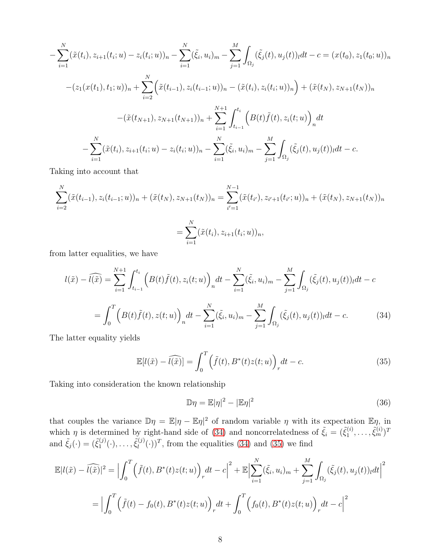$$
-\sum_{i=1}^{N} (\tilde{x}(t_i), z_{i+1}(t_i; u) - z_i(t_i; u))_n - \sum_{i=1}^{N} (\tilde{\xi}_i, u_i)_m - \sum_{j=1}^{M} \int_{\Omega_j} (\tilde{\xi}_j(t), u_j(t))_l dt - c = (x(t_0), z_1(t_0; u))_n
$$

$$
-(z_1(x(t_1), t_1; u))_n + \sum_{i=2}^{N} (\tilde{x}(t_{i-1}), z_i(t_{i-1}; u))_n - (\tilde{x}(t_i), z_i(t_i; u))_n) + (\tilde{x}(t_N), z_{N+1}(t_N))_n
$$

$$
-(\tilde{x}(t_{N+1}), z_{N+1}(t_{N+1}))_n + \sum_{i=1}^{N+1} \int_{t_{i-1}}^{t_i} (B(t)\tilde{f}(t), z_i(t; u))_n dt
$$

$$
-\sum_{i=1}^{N} (\tilde{x}(t_i), z_{i+1}(t_i; u) - z_i(t_i; u))_n - \sum_{i=1}^{N} (\tilde{\xi}_i, u_i)_m - \sum_{j=1}^{M} \int_{\Omega_j} (\tilde{\xi}_j(t), u_j(t))_l dt - c.
$$

Taking into account that

$$
\sum_{i=2}^{N} (\tilde{x}(t_{i-1}), z_i(t_{i-1}; u))_n + (\tilde{x}(t_N), z_{N+1}(t_N))_n = \sum_{i'=1}^{N-1} (\tilde{x}(t_{i'}), z_{i'+1}(t_{i'}; u))_n + (\tilde{x}(t_N), z_{N+1}(t_N))_n
$$

$$
= \sum_{i=1}^{N} (\tilde{x}(t_i), z_{i+1}(t_i; u))_n,
$$

from latter equalities, we have

$$
l(\tilde{x}) - \widehat{l(\tilde{x})} = \sum_{i=1}^{N+1} \int_{t_{i-1}}^{t_i} \left( B(t) \tilde{f}(t), z_i(t; u) \right)_n dt - \sum_{i=1}^N (\tilde{\xi}_i, u_i)_m - \sum_{j=1}^M \int_{\Omega_j} (\tilde{\xi}_j(t), u_j(t))_l dt - c
$$
  

$$
= \int_0^T \left( B(t) \tilde{f}(t), z(t; u) \right)_n dt - \sum_{i=1}^N (\tilde{\xi}_i, u_i)_m - \sum_{j=1}^M \int_{\Omega_j} (\tilde{\xi}_j(t), u_j(t))_l dt - c.
$$
 (34)

<span id="page-7-0"></span>The latter equality yields

<span id="page-7-1"></span>
$$
\mathbb{E}[l(\tilde{x}) - \widehat{l(\tilde{x})}] = \int_0^T \left(\tilde{f}(t), B^*(t)z(t; u)\right)_r dt - c.
$$
\n(35)

Taking into consideration the known relationship

$$
\mathbb{D}\eta = \mathbb{E}|\eta|^2 - |\mathbb{E}\eta|^2 \tag{36}
$$

that couples the variance  $\mathbb{D}\eta = \mathbb{E}|\eta - \mathbb{E}\eta|^2$  of random variable  $\eta$  with its expectation  $\mathbb{E}\eta$ , in which  $\eta$  is determined by right-hand side of [\(34\)](#page-7-0) and noncorrelatedness of  $\tilde{\xi}_i = (\tilde{\xi}_1^{(i)})$  $(\begin{smallmatrix} i\ 1 \end{smallmatrix},\ldots,\tilde{\xi}_m^{(i)})^T$ and  $\tilde{\xi}_j(\cdot) = (\tilde{\xi}_1^{(j)})$  $\tilde{\xi}_l^{(j)}(\cdot),\ldots,\tilde{\xi}_l^{(j)}$  $\binom{[j]}{l}(\cdot)$ <sup>T</sup>, from the equalities [\(34\)](#page-7-0) and [\(35\)](#page-7-1) we find

$$
\mathbb{E}|l(\tilde{x}) - \widehat{l(\tilde{x})}|^2 = \Big|\int_0^T \Big(\tilde{f}(t), B^*(t)z(t; u)\Big)_r dt - c\Big|^2 + \mathbb{E}\Big|\sum_{i=1}^N (\tilde{\xi}_i, u_i)_m + \sum_{j=1}^M \int_{\Omega_j} (\tilde{\xi}_j(t), u_j(t))_l dt\Big|^2
$$
  
=  $\Big|\int_0^T \Big(\tilde{f}(t) - f_0(t), B^*(t)z(t; u)\Big)_r dt + \int_0^T \Big(f_0(t), B^*(t)z(t; u)\Big)_r dt - c\Big|^2$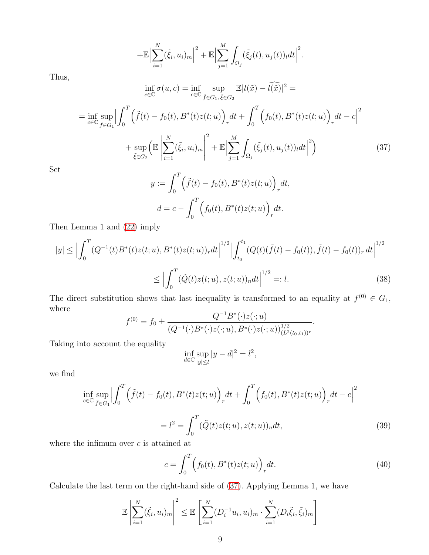$$
+\mathbb{E}\Big|\sum_{i=1}^N(\tilde{\xi}_i,u_i)_m\Big|^2+\mathbb{E}\Big|\sum_{j=1}^M\int_{\Omega_j}(\tilde{\xi}_j(t),u_j(t))_ldt\Big|^2.
$$

Thus,

$$
\inf_{c \in \mathbb{C}} \sigma(u, c) = \inf_{c \in \mathbb{C}} \sup_{\tilde{f} \in G_1, \tilde{\xi} \in G_2} \mathbb{E}[l(\tilde{x}) - \tilde{l}(\tilde{x})]^2 =
$$
\n
$$
= \inf_{c \in \mathbb{C}} \sup_{\tilde{f} \in G_1} \left| \int_0^T \left( \tilde{f}(t) - f_0(t), B^*(t)z(t; u) \right)_r dt + \int_0^T \left( f_0(t), B^*(t)z(t; u) \right)_r dt - c \right|^2
$$
\n
$$
+ \sup_{\tilde{\xi} \in G_2} \left( \mathbb{E} \left| \sum_{i=1}^N (\tilde{\xi}_i, u_i)_m \right|^2 + \mathbb{E} \left| \sum_{j=1}^M \int_{\Omega_j} (\tilde{\xi}_j(t), u_j(t))_l dt \right|^2 \right)
$$
\n(37)

Set

<span id="page-8-0"></span>
$$
y := \int_0^T \left( \tilde{f}(t) - f_0(t), B^*(t)z(t; u) \right)_r dt,
$$
  

$$
d = c - \int_0^T \left( f_0(t), B^*(t)z(t; u) \right)_r dt.
$$

Then Lemma 1 and [\(22\)](#page-4-1) imply

$$
|y| \leq \left| \int_0^T (Q^{-1}(t)B^*(t)z(t;u), B^*(t)z(t;u))_r dt \right|^{1/2} \left| \int_{t_0}^{t_1} (Q(t)(\tilde{f}(t) - f_0(t)), \tilde{f}(t) - f_0(t))_r dt \right|^{1/2}
$$
  

$$
\leq \left| \int_0^T (\tilde{Q}(t)z(t;u), z(t;u))_n dt \right|^{1/2} =: l. \tag{38}
$$

The direct substitution shows that last inequality is transformed to an equality at  $f^{(0)} \in G_1$ , where  $\mathbf{R}^*(\lambda, \ell)$ 

$$
f^{(0)} = f_0 \pm \frac{Q^{-1}B^*(\cdot)z(\cdot;u)}{(Q^{-1}(\cdot)B^*(\cdot)z(\cdot;u),B^*(\cdot)z(\cdot;u))_{(L^2(t_0,t_1))^r}^{1/2}}.
$$

Taking into account the equality

$$
\inf_{d \in \mathbb{C}} \sup_{|y| \le l} |y - d|^2 = l^2,
$$

we find

$$
\inf_{c \in \mathbb{C}} \sup_{\tilde{f} \in G_1} \Big| \int_0^T \Big( \tilde{f}(t) - f_0(t), B^*(t)z(t; u) \Big)_r dt + \int_0^T \Big( f_0(t), B^*(t)z(t; u) \Big)_r dt - c \Big|^2
$$
  

$$
= l^2 = \int_0^T (\tilde{Q}(t)z(t; u), z(t; u))_n dt,
$$
 (39)

where the infimum over  $c$  is attained at

<span id="page-8-2"></span><span id="page-8-1"></span>
$$
c = \int_0^T \left( f_0(t), B^*(t)z(t; u) \right)_r dt.
$$
 (40)

Calculate the last term on the right-hand side of [\(37\)](#page-8-0). Applying Lemma 1, we have

$$
\mathbb{E}\left|\sum_{i=1}^N(\tilde{\xi}_i,u_i)_m\right|^2 \leq \mathbb{E}\left[\sum_{i=1}^N(D_i^{-1}u_i,u_i)_m\cdot\sum_{i=1}^N(D_i\tilde{\xi}_i,\tilde{\xi}_i)_m\right]
$$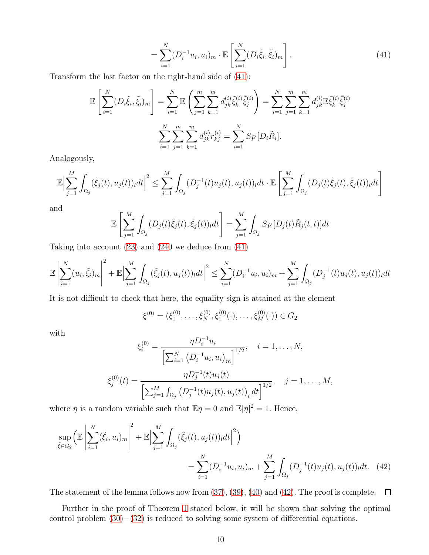<span id="page-9-0"></span>
$$
= \sum_{i=1}^{N} (D_i^{-1} u_i, u_i)_m \cdot \mathbb{E}\left[\sum_{i=1}^{N} (D_i \tilde{\xi}_i, \tilde{\xi}_i)_m\right].
$$
 (41)

Transform the last factor on the right-hand side of [\(41\)](#page-9-0):

$$
\mathbb{E}\left[\sum_{i=1}^{N} (D_i \tilde{\xi}_i, \tilde{\xi}_i)_m\right] = \sum_{i=1}^{N} \mathbb{E}\left(\sum_{j=1}^{m} \sum_{k=1}^{m} d_{jk}^{(i)} \tilde{\xi}_k^{(i)} \overline{\tilde{\xi}}_j^{(i)}\right) = \sum_{i=1}^{N} \sum_{j=1}^{m} \sum_{k=1}^{m} d_{jk}^{(i)} \mathbb{E}\tilde{\xi}_k^{(i)} \overline{\tilde{\xi}}_j^{(i)}
$$

$$
\sum_{i=1}^{N} \sum_{j=1}^{m} \sum_{k=1}^{m} d_{jk}^{(i)} r_{kj}^{(i)} = \sum_{i=1}^{N} Sp\left[D_i \tilde{R}_i\right].
$$

Analogously,

$$
\mathbb{E}\Big|\sum_{j=1}^M\int_{\Omega_j}(\tilde{\xi}_j(t),u_j(t))_ldt\Big|^2\leq \sum_{j=1}^M\int_{\Omega_j}(D_j^{-1}(t)u_j(t),u_j(t))_ldt\cdot \mathbb{E}\left[\sum_{j=1}^M\int_{\Omega_j}(D_j(t)\tilde{\xi}_j(t),\tilde{\xi}_j(t))_ldt\right]
$$

and

$$
\mathbb{E}\left[\sum_{j=1}^{M}\int_{\Omega_{j}}(D_{j}(t)\tilde{\xi}_{j}(t),\tilde{\xi}_{j}(t))_{l}dt\right]=\sum_{j=1}^{M}\int_{\Omega_{j}}Sp[D_{j}(t)\tilde{R}_{j}(t,t)]dt
$$

Taking into account [\(23\)](#page-4-2) and [\(240](#page-4-3) we deduce from [\(41\)](#page-9-0)

$$
\mathbb{E}\left|\sum_{i=1}^{N}(u_{i},\tilde{\xi}_{i})_{m}\right|^{2} + \mathbb{E}\left|\sum_{j=1}^{M}\int_{\Omega_{j}}(\tilde{\xi}_{j}(t),u_{j}(t))_{l}dt\right|^{2} \leq \sum_{i=1}^{N}(D_{i}^{-1}u_{i},u_{i})_{m} + \sum_{j=1}^{M}\int_{\Omega_{j}}(D_{j}^{-1}(t)u_{j}(t),u_{j}(t))_{l}dt
$$

It is not difficult to check that here, the equality sign is attained at the element

<span id="page-9-1"></span>
$$
\xi^{(0)} = (\xi_1^{(0)}, \dots, \xi_N^{(0)}, \xi_1^{(0)}(\cdot), \dots, \xi_M^{(0)}(\cdot)) \in G_2
$$

with

$$
\xi_i^{(0)} = \frac{\eta D_i^{-1} u_i}{\left[\sum_{i=1}^N \left(D_i^{-1} u_i, u_i\right)_m\right]^{1/2}}, \quad i = 1, \dots, N,
$$
  

$$
\xi_j^{(0)}(t) = \frac{\eta D_j^{-1}(t) u_j(t)}{\left[\sum_{j=1}^M \int_{\Omega_j} \left(D_j^{-1}(t) u_j(t), u_j(t)\right)_l dt\right]^{1/2}}, \quad j = 1, \dots, M,
$$

where  $\eta$  is a random variable such that  $\mathbb{E}\eta = 0$  and  $\mathbb{E}|\eta|^2 = 1$ . Hence,

$$
\sup_{\tilde{\xi}\in G_2} \left( \mathbb{E} \left| \sum_{i=1}^N (\tilde{\xi}_i, u_i)_m \right|^2 + \mathbb{E} \left| \sum_{j=1}^M \int_{\Omega_j} (\tilde{\xi}_j(t), u_j(t))_l dt \right|^2 \right)
$$
\n
$$
= \sum_{i=1}^N (D_i^{-1} u_i, u_i)_m + \sum_{j=1}^M \int_{\Omega_j} (D_j^{-1}(t) u_j(t), u_j(t))_l dt. \quad (42)
$$

The statement of the lemma follows now from  $(37), (39), (40)$  $(37), (39), (40)$  $(37), (39), (40)$  $(37), (39), (40)$  and  $(42)$ . The proof is complete.  $\Box$ 

Further in the proof of Theorem [1](#page-10-0) stated below, it will be shown that solving the optimal control problem  $(30)–(32)$  $(30)–(32)$  is reduced to solving some system of differential equations.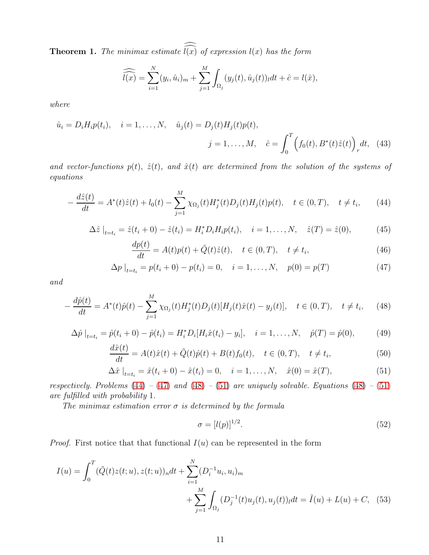<span id="page-10-0"></span>**Theorem 1.** The minimax estimate  $\widehat{l(x)}$  of expression  $l(x)$  has the form

<span id="page-10-6"></span>
$$
\widehat{l(x)} = \sum_{i=1}^N (y_i, \hat{u}_i)_m + \sum_{j=1}^M \int_{\Omega_j} (y_j(t), \hat{u}_j(t))_l dt + \hat{c} = l(\hat{x}),
$$

where

$$
\hat{u}_i = D_i H_i p(t_i), \quad i = 1, ..., N, \quad \hat{u}_j(t) = D_j(t) H_j(t) p(t),
$$
\n
$$
j = 1, ..., M, \quad \hat{c} = \int_0^T \left( f_0(t), B^*(t) \hat{z}(t) \right)_r dt, \quad (43)
$$

and vector-functions  $p(t)$ ,  $\hat{z}(t)$ , and  $\hat{x}(t)$  are determined from the solution of the systems of equations

<span id="page-10-1"></span>
$$
-\frac{d\hat{z}(t)}{dt} = A^*(t)\hat{z}(t) + l_0(t) - \sum_{j=1}^M \chi_{\Omega_j}(t)H_j^*(t)D_j(t)H_j(t)p(t), \quad t \in (0, T), \quad t \neq t_i,
$$
 (44)

$$
\Delta \hat{z} \big|_{t=t_i} = \hat{z}(t_i + 0) - \hat{z}(t_i) = H_i^* D_i H_i p(t_i), \quad i = 1, ..., N, \quad \hat{z}(T) = \hat{z}(0), \tag{45}
$$

$$
\frac{dp(t)}{dt} = A(t)p(t) + \tilde{Q}(t)\hat{z}(t), \quad t \in (0, T), \quad t \neq t_i,
$$
\n(46)

<span id="page-10-2"></span>
$$
\Delta p \big|_{t=t_i} = p(t_i + 0) - p(t_i) = 0, \quad i = 1, ..., N, \quad p(0) = p(T) \tag{47}
$$

and

<span id="page-10-3"></span>
$$
-\frac{d\hat{p}(t)}{dt} = A^*(t)\hat{p}(t) - \sum_{j=1}^M \chi_{\Omega_j}(t)H_j^*(t)D_j(t)[H_j(t)\hat{x}(t) - y_j(t)], \quad t \in (0, T), \quad t \neq t_i,
$$
 (48)

<span id="page-10-7"></span>
$$
\Delta \hat{p}\big|_{t=t_i} = \hat{p}(t_i + 0) - \hat{p}(t_i) = H_i^* D_i[H_i \hat{x}(t_i) - y_i], \quad i = 1, ..., N, \quad \hat{p}(T) = \hat{p}(0), \tag{49}
$$

$$
\frac{d\hat{x}(t)}{dt} = A(t)\hat{x}(t) + \tilde{Q}(t)\hat{p}(t) + B(t)f_0(t), \quad t \in (0, T), \quad t \neq t_i,
$$
\n(50)

<span id="page-10-4"></span>
$$
\Delta \hat{x} \big|_{t=t_i} = \hat{x}(t_i + 0) - \hat{x}(t_i) = 0, \quad i = 1, ..., N, \quad \hat{x}(0) = \hat{x}(T), \tag{51}
$$

respectively. Problems  $(44) - (47)$  $(44) - (47)$  $(44) - (47)$  and  $(48) - (51)$  $(48) - (51)$  $(48) - (51)$  are uniquely solvable. Equations  $(48) - (51)$ are fulfilled with probability 1.

The minimax estimation error  $\sigma$  is determined by the formula

<span id="page-10-5"></span>
$$
\sigma = [l(p)]^{1/2}.
$$
\n(52)

*Proof.* First notice that that functional  $I(u)$  can be represented in the form

$$
I(u) = \int_0^T (\tilde{Q}(t)z(t;u), z(t;u))_n dt + \sum_{i=1}^N (D_i^{-1}u_i, u_i)_m
$$
  
+ 
$$
\sum_{j=1}^M \int_{\Omega_j} (D_j^{-1}(t)u_j(t), u_j(t))_l dt = \tilde{I}(u) + L(u) + C, \quad (53)
$$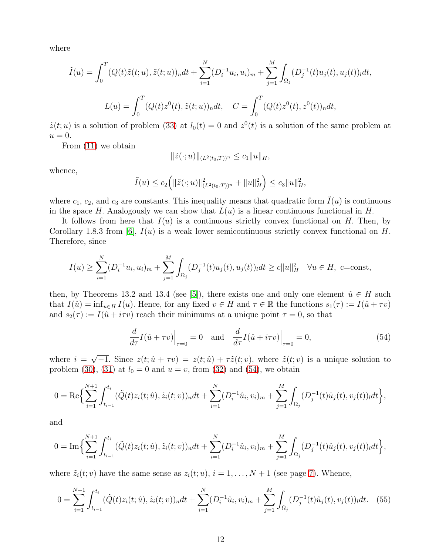where

$$
\tilde{I}(u) = \int_0^T (Q(t)\tilde{z}(t;u), \tilde{z}(t;u))_n dt + \sum_{i=1}^N (D_i^{-1}u_i, u_i)_m + \sum_{j=1}^M \int_{\Omega_j} (D_j^{-1}(t)u_j(t), u_j(t))_l dt,
$$
  

$$
L(u) = \int_0^T (Q(t)z^0(t), \tilde{z}(t;u))_n dt, \quad C = \int_0^T (Q(t)z^0(t), z^0(t))_n dt,
$$

 $\tilde{z}(t;u)$  is a solution of problem [\(33\)](#page-6-0) at  $l_0(t) = 0$  and  $z^0(t)$  is a solution of the same problem at  $u=0.$ 

From [\(11\)](#page-2-8) we obtain

$$
\|\tilde{z}(\cdot;u)\|_{(L^2(t_0,T))^n} \leq c_1 \|u\|_H,
$$

whence,

$$
\tilde{I}(u) \le c_2 \Big( \|\tilde{z}(\cdot; u)\|_{(L^2(t_0,T))^n}^2 + \|u\|_{H}^2 \Big) \le c_3 \|u\|_{H}^2,
$$

where  $c_1, c_2$ , and  $c_3$  are constants. This inequality means that quadratic form  $\tilde{I}(u)$  is continuous in the space H. Analogously we can show that  $L(u)$  is a linear continuous functional in H.

It follows from here that  $I(u)$  is a continuous strictly convex functional on H. Then, by Corollary 1.8.3 from [\[6\]](#page-17-6),  $I(u)$  is a weak lower semicontinuous strictly convex functional on H. Therefore, since

$$
I(u) \ge \sum_{i=1}^{N} (D_i^{-1}u_i, u_i)_m + \sum_{j=1}^{M} \int_{\Omega_j} (D_j^{-1}(t)u_j(t), u_j(t))_l dt \ge c \|u\|_H^2 \quad \forall u \in H, \text{ c=const},
$$

then, by Theorems 13.2 and 13.4 (see [\[5\]](#page-17-7)), there exists one and only one element  $\hat{u} \in H$  such that  $I(\hat{u}) = \inf_{u \in H} I(u)$ . Hence, for any fixed  $v \in H$  and  $\tau \in \mathbb{R}$  the functions  $s_1(\tau) := I(\hat{u} + \tau v)$ and  $s_2(\tau) := I(\hat{u} + i\tau v)$  reach their minimums at a unique point  $\tau = 0$ , so that

<span id="page-11-0"></span>
$$
\frac{d}{d\tau}I(\hat{u} + \tau v)\Big|_{\tau=0} = 0 \quad \text{and} \quad \frac{d}{d\tau}I(\hat{u} + i\tau v)\Big|_{\tau=0} = 0,
$$
\n(54)

where  $i = \sqrt{-1}$ . Since  $z(t; \hat{u} + \tau v) = z(t; \hat{u}) + \tau \tilde{z}(t; v)$ , where  $\tilde{z}(t; v)$  is a unique solution to problem [\(30\)](#page-5-2), [\(31\)](#page-5-4) at  $l_0 = 0$  and  $u = v$ , from [\(32\)](#page-5-3) and [\(54\)](#page-11-0), we obtain

$$
0 = \text{Re}\Big\{\sum_{i=1}^{N+1}\int_{t_{i-1}}^{t_i} (\tilde{Q}(t)z_i(t;\hat{u}), \tilde{z}_i(t;v))_n dt + \sum_{i=1}^N (D_i^{-1}\hat{u}_i, v_i)_m + \sum_{j=1}^M \int_{\Omega_j} (D_j^{-1}(t)\hat{u}_j(t), v_j(t))_l dt \Big\},
$$

and

$$
0 = \text{Im}\Big\{\sum_{i=1}^{N+1} \int_{t_{i-1}}^{t_i} (\tilde{Q}(t)z_i(t;\hat{u}), \tilde{z}_i(t;v))_n dt + \sum_{i=1}^N (D_i^{-1}\hat{u}_i, v_i)_m + \sum_{j=1}^M \int_{\Omega_j} (D_j^{-1}(t)\hat{u}_j(t), v_j(t))_l dt \Big\},\
$$

where  $\tilde{z}_i(t; v)$  have the same sense as  $z_i(t; u)$ ,  $i = 1, ..., N + 1$  (see page [7\)](#page-6-0). Whence,

<span id="page-11-1"></span>
$$
0 = \sum_{i=1}^{N+1} \int_{t_{i-1}}^{t_i} (\tilde{Q}(t)z_i(t; \hat{u}), \tilde{z}_i(t; v))_n dt + \sum_{i=1}^N (D_i^{-1}\hat{u}_i, v_i)_m + \sum_{j=1}^M \int_{\Omega_j} (D_j^{-1}(t)\hat{u}_j(t), v_j(t))_l dt. \tag{55}
$$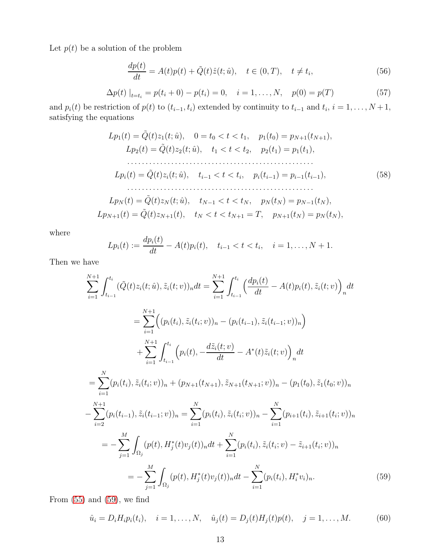Let  $p(t)$  be a solution of the problem

$$
\frac{dp(t)}{dt} = A(t)p(t) + \tilde{Q}(t)\hat{z}(t;\hat{u}), \quad t \in (0,T), \quad t \neq t_i,
$$
\n(56)

$$
\Delta p(t) \big|_{t=t_i} = p(t_i + 0) - p(t_i) = 0, \quad i = 1, ..., N, \quad p(0) = p(T) \tag{57}
$$

and  $p_i(t)$  be restriction of  $p(t)$  to  $(t_{i-1}, t_i)$  extended by continuity to  $t_{i-1}$  and  $t_i$ ,  $i = 1, ..., N+1$ , satisfying the equations

$$
Lp_1(t) = \tilde{Q}(t)z_1(t; \hat{u}), \quad 0 = t_0 < t < t_1, \quad p_1(t_0) = p_{N+1}(t_{N+1}),
$$
\n
$$
Lp_2(t) = \tilde{Q}(t)z_2(t; \hat{u}), \quad t_1 < t < t_2, \quad p_2(t_1) = p_1(t_1),
$$
\n
$$
\dots
$$
\n
$$
Lp_i(t) = \tilde{Q}(t)z_i(t; \hat{u}), \quad t_{i-1} < t < t_i, \quad p_i(t_{i-1}) = p_{i-1}(t_{i-1}),
$$
\n
$$
Lp_N(t) = \tilde{Q}(t)z_N(t; \hat{u}), \quad t_{N-1} < t < t_N, \quad p_N(t_N) = p_{N-1}(t_N),
$$
\n
$$
Lp_{N+1}(t) = \tilde{Q}(t)z_{N+1}(t), \quad t_N < t < t_{N+1} = T, \quad p_{N+1}(t_N) = p_N(t_N),
$$
\n
$$
(58)
$$

where

$$
L p_i(t) := \frac{dp_i(t)}{dt} - A(t)p_i(t), \quad t_{i-1} < t < t_i, \quad i = 1, \dots, N+1.
$$

Then we have

$$
\sum_{i=1}^{N+1} \int_{t_{i-1}}^{t_i} (\tilde{Q}(t)z_i(t; \hat{u}), \tilde{z}_i(t; v))_n dt = \sum_{i=1}^{N+1} \int_{t_{i-1}}^{t_i} \left(\frac{dp_i(t)}{dt} - A(t)p_i(t), \tilde{z}_i(t; v)\right)_n dt
$$
  
\n
$$
= \sum_{i=1}^{N+1} \left( (p_i(t_i), \tilde{z}_i(t_i; v))_n - (p_i(t_{i-1}), \tilde{z}_i(t_{i-1}; v))_n \right)
$$
  
\n
$$
+ \sum_{i=1}^{N+1} \int_{t_{i-1}}^{t_i} \left( p_i(t), -\frac{d\tilde{z}_i(t; v)}{dt} - A^*(t)\tilde{z}_i(t; v) \right)_n dt
$$
  
\n
$$
= \sum_{i=1}^{N} (p_i(t_i), \tilde{z}_i(t_i; v))_n + (p_{N+1}(t_{N+1}), \tilde{z}_{N+1}(t_{N+1}; v))_n - (p_1(t_0), \tilde{z}_1(t_0; v))_n
$$
  
\n
$$
- \sum_{i=2}^{N+1} (p_i(t_{i-1}), \tilde{z}_i(t_{i-1}; v))_n = \sum_{i=1}^{N} (p_i(t_i), \tilde{z}_i(t_i; v))_n - \sum_{i=1}^{N} (p_{i+1}(t_i), \tilde{z}_{i+1}(t_i; v))_n
$$
  
\n
$$
= - \sum_{j=1}^{M} \int_{\Omega_j} (p(t), H_j^*(t)v_j(t))_n dt + \sum_{i=1}^{N} (p_i(t_i), \tilde{z}_i(t_i; v) - \tilde{z}_{i+1}(t_i; v))_n
$$
  
\n
$$
= - \sum_{j=1}^{M} \int_{\Omega_j} (p(t), H_j^*(t)v_j(t))_n dt - \sum_{i=1}^{N} (p_i(t_i), H_i^*v_i)_n.
$$
 (59)

From  $(55)$  and  $(59)$ , we find

<span id="page-12-1"></span><span id="page-12-0"></span>
$$
\hat{u}_i = D_i H_i p_i(t_i), \quad i = 1, ..., N, \quad \hat{u}_j(t) = D_j(t) H_j(t) p(t), \quad j = 1, ..., M. \tag{60}
$$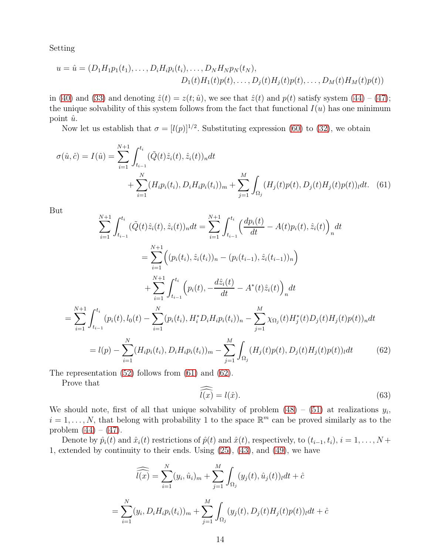Setting

$$
u = \hat{u} = (D_1 H_1 p_1(t_1), \dots, D_i H_i p_i(t_i), \dots, D_N H_N p_N(t_N),
$$
  

$$
D_1(t) H_1(t) p(t), \dots, D_j(t) H_j(t) p(t), \dots, D_M(t) H_M(t) p(t))
$$

in [\(40\)](#page-8-2) and [\(33\)](#page-6-0) and denoting  $\hat{z}(t) = z(t; \hat{u})$ , we see that  $\hat{z}(t)$  and  $p(t)$  satisfy system [\(44\)](#page-10-1) – [\(47\)](#page-10-2); the unique solvability of this system follows from the fact that functional  $I(u)$  has one minimum point  $\hat{u}$ .

Now let us establish that  $\sigma = [l(p)]^{1/2}$ . Substituting expression [\(60\)](#page-12-1) to [\(32\)](#page-5-3), we obtain

$$
\sigma(\hat{u}, \hat{c}) = I(\hat{u}) = \sum_{i=1}^{N+1} \int_{t_{i-1}}^{t_i} (\tilde{Q}(t)\hat{z}_i(t), \hat{z}_i(t))_n dt + \sum_{i=1}^N (H_i p_i(t_i), D_i H_i p_i(t_i))_m + \sum_{j=1}^M \int_{\Omega_j} (H_j(t)p(t), D_j(t)H_j(t)p(t))_l dt.
$$
 (61)

But

$$
\sum_{i=1}^{N+1} \int_{t_{i-1}}^{t_i} (\tilde{Q}(t)\hat{z}_i(t), \hat{z}_i(t))_n dt = \sum_{i=1}^{N+1} \int_{t_{i-1}}^{t_i} \left(\frac{dp_i(t)}{dt} - A(t)p_i(t), \hat{z}_i(t)\right)_n dt
$$
  
\n
$$
= \sum_{i=1}^{N+1} \left( (p_i(t_i), \hat{z}_i(t_i))_n - (p_i(t_{i-1}), \hat{z}_i(t_{i-1}))_n \right)
$$
  
\n
$$
+ \sum_{i=1}^{N+1} \int_{t_{i-1}}^{t_i} \left( p_i(t), -\frac{d\hat{z}_i(t)}{dt} - A^*(t)\hat{z}_i(t) \right)_n dt
$$
  
\n
$$
= \sum_{i=1}^{N+1} \int_{t_{i-1}}^{t_i} (p_i(t), l_0(t) - \sum_{i=1}^N (p_i(t_i), H_i^* D_i H_i p_i(t_i))_n - \sum_{j=1}^M \chi_{\Omega_j}(t) H_j^*(t) D_j(t) H_j(t) p(t))_n dt
$$
  
\n
$$
= l(p) - \sum_{i=1}^N (H_i p_i(t_i), D_i H_i p_i(t_i))_m - \sum_{j=1}^M \int_{\Omega_j} (H_j(t) p(t), D_j(t) H_j(t) p(t))_n dt
$$
(62)

The representation [\(52\)](#page-10-5) follows from [\(61\)](#page-13-0) and [\(62\)](#page-13-1).

<span id="page-13-1"></span>Prove that

<span id="page-13-2"></span><span id="page-13-0"></span>
$$
\widehat{l(x)} = l(\hat{x}).\tag{63}
$$

We should note, first of all that unique solvability of problem  $(48) - (51)$  $(48) - (51)$  at realizations  $y_i$ ,  $i = 1, \ldots, N$ , that belong with probability 1 to the space  $\mathbb{R}^m$  can be proved similarly as to the problem  $(44) - (47)$  $(44) - (47)$  $(44) - (47)$ .

Denote by  $\hat{p}_i(t)$  and  $\hat{x}_i(t)$  restrictions of  $\hat{p}(t)$  and  $\hat{x}(t)$ , respectively, to  $(t_{i-1}, t_i)$ ,  $i = 1, \ldots, N + 1$ 1, extended by continuity to their ends. Using [\(25\)](#page-4-4), [\(43\)](#page-10-6), and [\(49\)](#page-10-7), we have

$$
\widehat{l(x)} = \sum_{i=1}^{N} (y_i, \hat{u}_i)_m + \sum_{j=1}^{M} \int_{\Omega_j} (y_j(t), \hat{u}_j(t))_l dt + \hat{c}
$$

$$
= \sum_{i=1}^{N} (y_i, D_i H_i p_i(t_i))_m + \sum_{j=1}^{M} \int_{\Omega_j} (y_j(t), D_j(t) H_j(t) p(t))_l dt + \hat{c}
$$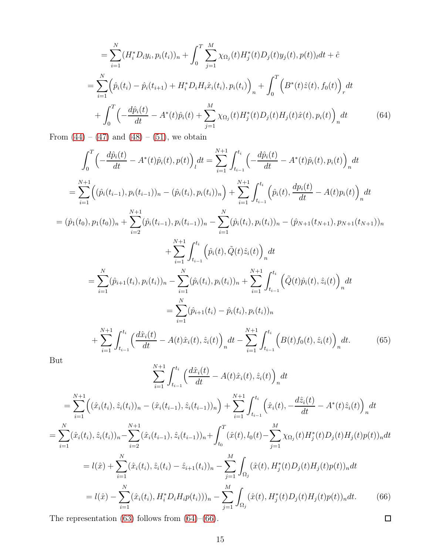$$
= \sum_{i=1}^{N} (H_i^* D_i y_i, p_i(t_i))_n + \int_0^T \sum_{j=1}^{M} \chi_{\Omega_j}(t) H_j^*(t) D_j(t) y_j(t), p(t))_l dt + \hat{c}
$$
  
\n
$$
= \sum_{i=1}^{N} \left( \hat{p}_i(t_i) - \hat{p}_i(t_{i+1}) + H_i^* D_i H_i \hat{x}_i(t_i), p_i(t_i) \right)_n + \int_0^T \left( B^*(t) \hat{z}(t), f_0(t) \right)_r dt
$$
  
\n
$$
+ \int_0^T \left( -\frac{d\hat{p}_i(t)}{dt} - A^*(t) \hat{p}_i(t) + \sum_{j=1}^{M} \chi_{\Omega_j}(t) H_j^*(t) D_j(t) H_j(t) \hat{x}(t), p_i(t) \right)_n dt
$$
(64)

<span id="page-14-0"></span>From  $(44) - (47)$  $(44) - (47)$  and  $(48) - (51)$  $(48) - (51)$ , we obtain

$$
\int_{0}^{T} \left( -\frac{d\hat{p}_{i}(t)}{dt} - A^{*}(t)\hat{p}_{i}(t), p(t) \right)_{l} dt = \sum_{i=1}^{N+1} \int_{t_{i-1}}^{t_{i}} \left( -\frac{d\hat{p}_{i}(t)}{dt} - A^{*}(t)\hat{p}_{i}(t), p_{i}(t) \right)_{n} dt
$$
\n
$$
= \sum_{i=1}^{N+1} \left( (\hat{p}_{i}(t_{i-1}), p_{i}(t_{i-1}))_{n} - (\hat{p}_{i}(t_{i}), p_{i}(t_{i}))_{n} \right) + \sum_{i=1}^{N+1} \int_{t_{i-1}}^{t_{i}} \left( \hat{p}_{i}(t), \frac{dp_{i}(t)}{dt} - A(t)p_{i}(t) \right)_{n} dt
$$
\n
$$
= (\hat{p}_{1}(t_{0}), p_{1}(t_{0}))_{n} + \sum_{i=2}^{N+1} (\hat{p}_{i}(t_{i-1}), p_{i}(t_{i-1}))_{n} - \sum_{i=1}^{N} (\hat{p}_{i}(t_{i}), p_{i}(t_{i}))_{n} - (\hat{p}_{N+1}(t_{N+1}), p_{N+1}(t_{N+1}))_{n}
$$
\n
$$
+ \sum_{i=1}^{N+1} \int_{t_{i-1}}^{t_{i}} \left( \hat{p}_{i}(t), \tilde{Q}(t)\hat{z}_{i}(t) \right)_{n} dt
$$
\n
$$
= \sum_{i=1}^{N} (\hat{p}_{i+1}(t_{i}), p_{i}(t_{i}))_{n} - \sum_{i=1}^{N} (\hat{p}_{i}(t_{i}), p_{i}(t_{i}))_{n} + \sum_{i=1}^{N+1} \int_{t_{i-1}}^{t_{i}} \left( \tilde{Q}(t)\hat{p}_{i}(t), \hat{z}_{i}(t) \right)_{n} dt
$$
\n
$$
= \sum_{i=1}^{N} (\hat{p}_{i+1}(t_{i}) - \hat{p}_{i}(t_{i}), p_{i}(t_{i}))_{n}
$$
\n
$$
+ \sum_{i=1}^{N+1} \int_{t_{i-1}}^{t_{i}} \left( \frac{d\hat{x}_{i}(t)}{dt} - A(t)\hat{x}_{i}(t), \hat{z}_{i}(t) \right)_{n} dt - \
$$

But

$$
\sum_{i=1}^{N+1} \int_{t_{i-1}}^{t_i} \left(\frac{d\hat{x}_i(t)}{dt} - A(t)\hat{x}_i(t), \hat{z}_i(t)\right)_n dt
$$
  
\n
$$
= \sum_{i=1}^{N+1} \left( (\hat{x}_i(t_i), \hat{z}_i(t_i))_n - (\hat{x}_i(t_{i-1}), \hat{z}_i(t_{i-1}))_n \right) + \sum_{i=1}^{N+1} \int_{t_{i-1}}^{t_i} \left( \hat{x}_i(t), -\frac{d\hat{z}_i(t)}{dt} - A^*(t)\hat{z}_i(t) \right)_n dt
$$
  
\n
$$
= \sum_{i=1}^{N} (\hat{x}_i(t_i), \hat{z}_i(t_i))_n - \sum_{i=2}^{N+1} (\hat{x}_i(t_{i-1}), \hat{z}_i(t_{i-1}))_n + \int_{t_0}^{T} (\hat{x}(t), l_0(t) - \sum_{j=1}^{M} \chi_{\Omega_j}(t) H_j^*(t) D_j(t) H_j(t) p(t))_n dt
$$
  
\n
$$
= l(\hat{x}) + \sum_{i=1}^{N} (\hat{x}_i(t_i), \hat{z}_i(t_i) - \hat{z}_{i+1}(t_i))_n - \sum_{j=1}^{M} \int_{\Omega_j} (\hat{x}(t), H_j^*(t) D_j(t) H_j(t) p(t))_n dt
$$
  
\n
$$
= l(\hat{x}) - \sum_{i=1}^{N} (\hat{x}_i(t_i), H_i^* D_i H_i p(t_i)))_n - \sum_{j=1}^{M} \int_{\Omega_j} (\hat{x}(t), H_j^*(t) D_j(t) H_j(t) p(t))_n dt.
$$
 (66)

<span id="page-14-1"></span>The representation [\(63\)](#page-13-2) follows from [\(64\)](#page-14-0)–[\(66\)](#page-14-1).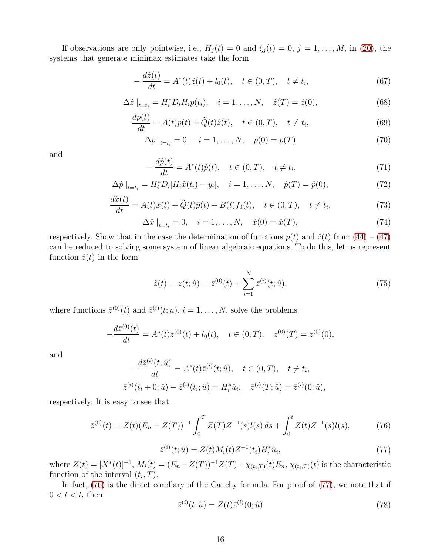If observations are only pointwise, i.e.,  $H_j(t) = 0$  and  $\xi_j(t) = 0$ ,  $j = 1, ..., M$ , in [\(20\)](#page-3-1), the systems that generate minimax estimates take the form

$$
-\frac{d\hat{z}(t)}{dt} = A^*(t)\hat{z}(t) + l_0(t), \quad t \in (0, T), \quad t \neq t_i,
$$
\n(67)

$$
\Delta \hat{z} \big|_{t=t_i} = H_i^* D_i H_i p(t_i), \quad i = 1, ..., N, \quad \hat{z}(T) = \hat{z}(0), \tag{68}
$$

<span id="page-15-4"></span>
$$
\frac{dp(t)}{dt} = A(t)p(t) + \tilde{Q}(t)\hat{z}(t), \quad t \in (0, T), \quad t \neq t_i,
$$
\n(69)

<span id="page-15-5"></span>
$$
\Delta p \big|_{t=t_i} = 0, \quad i = 1, \dots, N, \quad p(0) = p(T) \tag{70}
$$

and

$$
-\frac{d\hat{p}(t)}{dt} = A^*(t)\hat{p}(t), \quad t \in (0, T), \quad t \neq t_i,
$$
\n
$$
(71)
$$

$$
\Delta \hat{p} \big|_{t=t_i} = H_i^* D_i [H_i \hat{x}(t_i) - y_i], \quad i = 1, ..., N, \quad \hat{p}(T) = \hat{p}(0), \tag{72}
$$

$$
\frac{d\hat{x}(t)}{dt} = A(t)\hat{x}(t) + \tilde{Q}(t)\hat{p}(t) + B(t)f_0(t), \quad t \in (0, T), \quad t \neq t_i,
$$
\n(73)

$$
\Delta \hat{x} \big|_{t=t_i} = 0, \quad i = 1, \dots, N, \quad \hat{x}(0) = \hat{x}(T), \tag{74}
$$

respectively. Show that in the case the determination of functions  $p(t)$  and  $\hat{z}(t)$  from  $(44) - (47)$  $(44) - (47)$ can be reduced to solving some system of linear algebraic equations. To do this, let us represent function  $\hat{z}(t)$  in the form

<span id="page-15-3"></span>
$$
\hat{z}(t) = z(t; \hat{u}) = \bar{z}^{(0)}(t) + \sum_{i=1}^{N} \bar{z}^{(i)}(t; \hat{u}),
$$
\n(75)

where functions  $\bar{z}^{(0)}(t)$  and  $\bar{z}^{(i)}(t;u)$ ,  $i=1,\ldots,N$ , solve the problems

$$
-\frac{d\bar{z}^{(0)}(t)}{dt} = A^*(t)\bar{z}^{(0)}(t) + l_0(t), \quad t \in (0, T), \quad \bar{z}^{(0)}(T) = \bar{z}^{(0)}(0),
$$

and

$$
-\frac{d\bar{z}^{(i)}(t;\hat{u})}{dt} = A^*(t)\bar{z}^{(i)}(t;\hat{u}), \quad t \in (0,T), \quad t \neq t_i,
$$
  

$$
\bar{z}^{(i)}(t_i + 0;\hat{u}) - \bar{z}^{(i)}(t_i;\hat{u}) = H_i^*\hat{u}_i, \quad \bar{z}^{(i)}(T;\hat{u}) = \bar{z}^{(i)}(0;\hat{u}),
$$

respectively. It is easy to see that

<span id="page-15-0"></span>
$$
\bar{z}^{(0)}(t) = Z(t)(E_n - Z(T))^{-1} \int_0^T Z(T)Z^{-1}(s)l(s) ds + \int_0^t Z(t)Z^{-1}(s)l(s), \tag{76}
$$

<span id="page-15-1"></span>
$$
\bar{z}^{(i)}(t; \hat{u}) = Z(t)M_i(t)Z^{-1}(t_i)H_i^* \hat{u}_i,
$$
\n(77)

where  $Z(t) = [X^*(t)]^{-1}$ ,  $M_i(t) = (E_n - Z(T))^{-1}Z(T) + \chi_{(t_i,T)}(t)E_n$ ,  $\chi_{(t_i,T)}(t)$  is the characteristic function of the interval  $(t_i, T)$ .

In fact,  $(76)$  is the direct corollary of the Cauchy formula. For proof of  $(77)$ , we note that if  $0 < t < t_i$  then  $\langle i \rangle$ 

<span id="page-15-2"></span>
$$
\bar{z}^{(i)}(t; \hat{u}) = Z(t)\bar{z}^{(i)}(0; \hat{u})
$$
\n(78)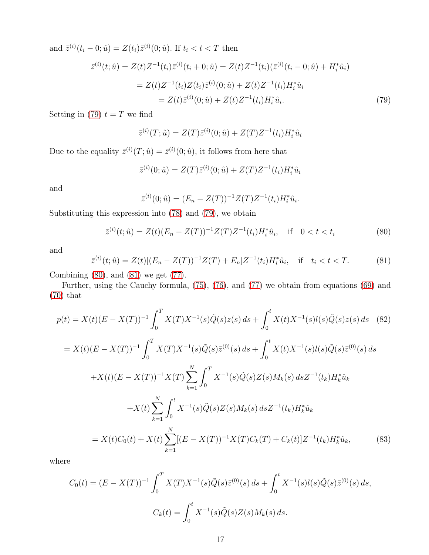and  $\bar{z}^{(i)}(t_i - 0; \hat{u}) = Z(t_i)\bar{z}^{(i)}(0; \hat{u})$ . If  $t_i < t < T$  then

$$
\bar{z}^{(i)}(t; \hat{u}) = Z(t)Z^{-1}(t_i)\bar{z}^{(i)}(t_i + 0; \hat{u}) = Z(t)Z^{-1}(t_i)(\bar{z}^{(i)}(t_i - 0; \hat{u}) + H_i^* \hat{u}_i)
$$
  
\n
$$
= Z(t)Z^{-1}(t_i)Z(t_i)\bar{z}^{(i)}(0; \hat{u}) + Z(t)Z^{-1}(t_i)H_i^* \hat{u}_i
$$
  
\n
$$
= Z(t)\bar{z}^{(i)}(0; \hat{u}) + Z(t)Z^{-1}(t_i)H_i^* \hat{u}_i.
$$
\n(79)

Setting in [\(79\)](#page-16-0)  $t = T$  we find

<span id="page-16-0"></span>
$$
\bar{z}^{(i)}(T; \hat{u}) = Z(T)\bar{z}^{(i)}(0; \hat{u}) + Z(T)Z^{-1}(t_i)H_i^* \hat{u}_i
$$

Due to the equality  $\bar{z}^{(i)}(T; \hat{u}) = \bar{z}^{(i)}(0; \hat{u})$ , it follows from here that

$$
\bar{z}^{(i)}(0; \hat{u}) = Z(T)\bar{z}^{(i)}(0; \hat{u}) + Z(T)Z^{-1}(t_i)H_i^* \hat{u}_i
$$

and

$$
\bar{z}^{(i)}(0; \hat{u}) = (E_n - Z(T))^{-1} Z(T) Z^{-1}(t_i) H_i^* \hat{u}_i.
$$

Substituting this expression into [\(78\)](#page-15-2) and [\(79\)](#page-16-0), we obtain

<span id="page-16-1"></span>
$$
\bar{z}^{(i)}(t; \hat{u}) = Z(t)(E_n - Z(T))^{-1}Z(T)Z^{-1}(t_i)H_i^* \hat{u}_i, \quad \text{if} \quad 0 < t < t_i \tag{80}
$$

and

<span id="page-16-2"></span>
$$
\bar{z}^{(i)}(t; \hat{u}) = Z(t)[(E_n - Z(T))^{-1}Z(T) + E_n]Z^{-1}(t_i)H_i^* \hat{u}_i, \quad \text{if} \quad t_i < t < T. \tag{81}
$$

Combining  $(80)$ , and  $(81)$  we get  $(77)$ .

Further, using the Cauchy formula, [\(75\)](#page-15-3), [\(76\)](#page-15-0), and [\(77\)](#page-15-1) we obtain from equations [\(69\)](#page-15-4) and [\(70\)](#page-15-5) that

<span id="page-16-4"></span>
$$
p(t) = X(t)(E - X(T))^{-1} \int_0^T X(T)X^{-1}(s)\tilde{Q}(s)z(s) ds + \int_0^t X(t)X^{-1}(s)l(s)\tilde{Q}(s)z(s) ds
$$
(82)  

$$
= X(t)(E - X(T))^{-1} \int_0^T X(T)X^{-1}(s)\tilde{Q}(s)\bar{z}^{(0)}(s) ds + \int_0^t X(t)X^{-1}(s)l(s)\tilde{Q}(s)\bar{z}^{(0)}(s) ds
$$

$$
+ X(t)(E - X(T))^{-1}X(T) \sum_{k=1}^N \int_0^T X^{-1}(s)\tilde{Q}(s)Z(s)M_k(s) ds Z^{-1}(t_k)H_k^* \hat{u}_k
$$

$$
+ X(t) \sum_{k=1}^N \int_0^t X^{-1}(s)\tilde{Q}(s)Z(s)M_k(s) ds Z^{-1}(t_k)H_k^* \hat{u}_k
$$

$$
= X(t)C_0(t) + X(t) \sum_{k=1}^N [(E - X(T))^{-1}X(T)C_k(T) + C_k(t)]Z^{-1}(t_k)H_k^* \hat{u}_k,
$$
(83)

where

<span id="page-16-3"></span>
$$
C_0(t) = (E - X(T))^{-1} \int_0^T X(T)X^{-1}(s)\tilde{Q}(s)\bar{z}^{(0)}(s) ds + \int_0^t X^{-1}(s)l(s)\tilde{Q}(s)\bar{z}^{(0)}(s) ds,
$$
  

$$
C_k(t) = \int_0^t X^{-1}(s)\tilde{Q}(s)Z(s)M_k(s) ds.
$$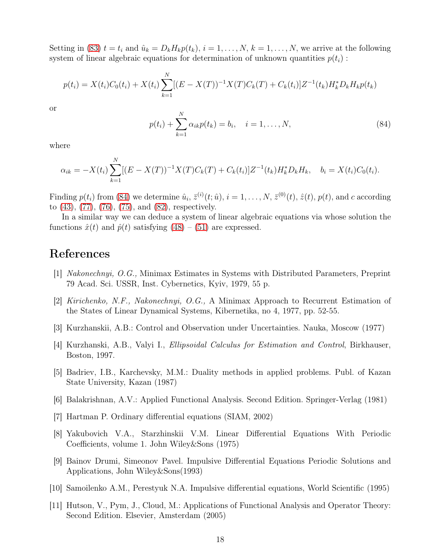Setting in [\(83\)](#page-16-3)  $t = t_i$  and  $\hat{u}_k = D_k H_k p(t_k)$ ,  $i = 1, \ldots, N$ ,  $k = 1, \ldots, N$ , we arrive at the following system of linear algebraic equations for determination of unknown quantities  $p(t_i)$ :

$$
p(t_i) = X(t_i)C_0(t_i) + X(t_i)\sum_{k=1}^{N} [(E - X(T))^{-1}X(T)C_k(T) + C_k(t_i)]Z^{-1}(t_k)H_kD_kH_kp(t_k)
$$

or

<span id="page-17-8"></span>
$$
p(t_i) + \sum_{k=1}^{N} \alpha_{ik} p(t_k) = b_i, \quad i = 1, ..., N,
$$
\n(84)

where

$$
\alpha_{ik} = -X(t_i) \sum_{k=1}^{N} [(E - X(T))^{-1} X(T) C_k(T) + C_k(t_i)] Z^{-1}(t_k) H_k^* D_k H_k, \quad b_i = X(t_i) C_0(t_i).
$$

Finding  $p(t_i)$  from [\(84\)](#page-17-8) we determine  $\hat{u}_i$ ,  $\bar{z}^{(i)}(t;\hat{u})$ ,  $i = 1, \ldots, N$ ,  $\bar{z}^{(0)}(t)$ ,  $\hat{z}(t)$ ,  $p(t)$ , and c according to [\(43\)](#page-10-6), [\(77\)](#page-15-1), [\(76\)](#page-15-0), [\(75\)](#page-15-3), and [\(82\)](#page-16-4), respectively.

In a similar way we can deduce a system of linear algebraic equations via whose solution the functions  $\hat{x}(t)$  and  $\hat{p}(t)$  satisfying  $(48) - (51)$  $(48) - (51)$  are expressed.

# References

- <span id="page-17-0"></span>[1] Nakonechnyi, O.G., Minimax Estimates in Systems with Distributed Parameters, Preprint 79 Acad. Sci. USSR, Inst. Cybernetics, Kyiv, 1979, 55 p.
- <span id="page-17-1"></span>[2] Kirichenko, N.F., Nakonechnyi, O.G., A Minimax Approach to Recurrent Estimation of the States of Linear Dynamical Systems, Kibernetika, no 4, 1977, pp. 52-55.
- <span id="page-17-2"></span>[3] Kurzhanskii, A.B.: Control and Observation under Uncertainties. Nauka, Moscow (1977)
- <span id="page-17-7"></span>[4] Kurzhanski, A.B., Valyi I., Ellipsoidal Calculus for Estimation and Control, Birkhauser, Boston, 1997.
- [5] Badriev, I.B., Karchevsky, M.M.: Duality methods in applied problems. Publ. of Kazan State University, Kazan (1987)
- <span id="page-17-6"></span><span id="page-17-3"></span>[6] Balakrishnan, A.V.: Applied Functional Analysis. Second Edition. Springer-Verlag (1981)
- [7] Hartman P. Ordinary differential equations (SIAM, 2002)
- [8] Yakubovich V.A., Starzhinskii V.M. Linear Differential Equations With Periodic Coefficients, volume 1. John Wiley&Sons (1975)
- <span id="page-17-5"></span>[9] Bainov Drumi, Simeonov Pavel. Impulsive Differential Equations Periodic Solutions and Applications, John Wiley&Sons(1993)
- <span id="page-17-4"></span>[10] Samoilenko A.M., Perestyuk N.A. Impulsive differential equations, World Scientific (1995)
- [11] Hutson, V., Pym, J., Cloud, M.: Applications of Functional Analysis and Operator Theory: Second Edition. Elsevier, Amsterdam (2005)